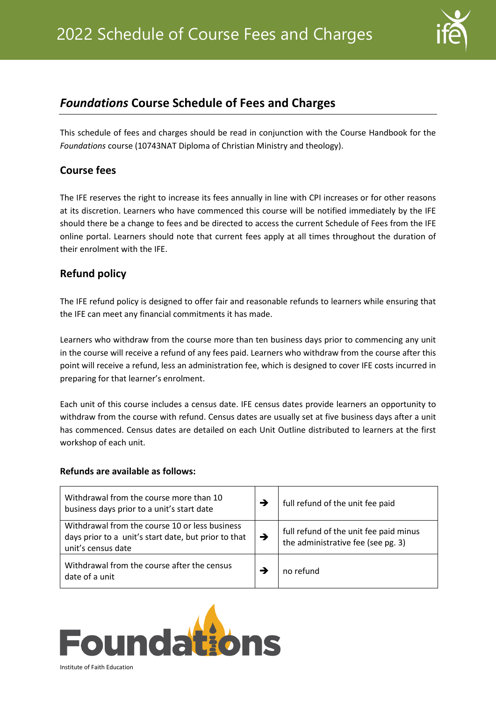

# *Foundations* **Course Schedule of Fees and Charges**

This schedule of fees and charges should be read in conjunction with the Course Handbook for the *Foundations* course (10743NAT Diploma of Christian Ministry and theology).

#### **Course fees**

The IFE reserves the right to increase its fees annually in line with CPI increases or for other reasons at its discretion. Learners who have commenced this course will be notified immediately by the IFE should there be a change to fees and be directed to access the current Schedule of Fees from the IFE online portal. Learners should note that current fees apply at all times throughout the duration of their enrolment with the IFE.

## **Refund policy**

The IFE refund policy is designed to offer fair and reasonable refunds to learners while ensuring that the IFE can meet any financial commitments it has made.

Learners who withdraw from the course more than ten business days prior to commencing any unit in the course will receive a refund of any fees paid. Learners who withdraw from the course after this point will receive a refund, less an administration fee, which is designed to cover IFE costs incurred in preparing for that learner's enrolment.

Each unit of this course includes a census date. IFE census dates provide learners an opportunity to withdraw from the course with refund. Census dates are usually set at five business days after a unit has commenced. Census dates are detailed on each Unit Outline distributed to learners at the first workshop of each unit.

#### **Refunds are available as follows:**

| Withdrawal from the course more than 10<br>business days prior to a unit's start date                                        | →             | full refund of the unit fee paid                                             |
|------------------------------------------------------------------------------------------------------------------------------|---------------|------------------------------------------------------------------------------|
| Withdrawal from the course 10 or less business<br>days prior to a unit's start date, but prior to that<br>unit's census date | $\rightarrow$ | full refund of the unit fee paid minus<br>the administrative fee (see pg. 3) |
| Withdrawal from the course after the census<br>date of a unit                                                                |               | no refund                                                                    |

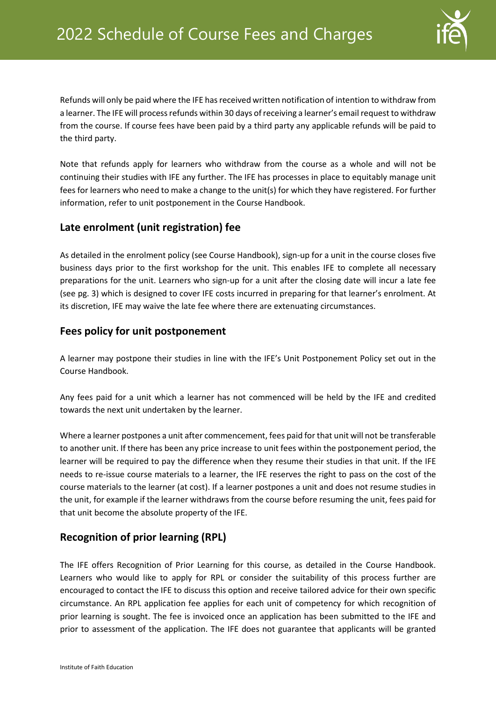

Refunds will only be paid where the IFE has received written notification of intention to withdraw from a learner. The IFE will process refunds within 30 days of receiving a learner's email request to withdraw from the course. If course fees have been paid by a third party any applicable refunds will be paid to the third party.

Note that refunds apply for learners who withdraw from the course as a whole and will not be continuing their studies with IFE any further. The IFE has processes in place to equitably manage unit fees for learners who need to make a change to the unit(s) for which they have registered. For further information, refer to unit postponement in the Course Handbook.

#### **Late enrolment (unit registration) fee**

As detailed in the enrolment policy (see Course Handbook), sign-up for a unit in the course closes five business days prior to the first workshop for the unit. This enables IFE to complete all necessary preparations for the unit. Learners who sign-up for a unit after the closing date will incur a late fee (see pg. [3\)](#page-2-0) which is designed to cover IFE costs incurred in preparing for that learner's enrolment. At its discretion, IFE may waive the late fee where there are extenuating circumstances.

#### **Fees policy for unit postponement**

A learner may postpone their studies in line with the IFE's Unit Postponement Policy set out in the Course Handbook.

Any fees paid for a unit which a learner has not commenced will be held by the IFE and credited towards the next unit undertaken by the learner.

Where a learner postpones a unit after commencement, fees paid for that unit will not be transferable to another unit. If there has been any price increase to unit fees within the postponement period, the learner will be required to pay the difference when they resume their studies in that unit. If the IFE needs to re-issue course materials to a learner, the IFE reserves the right to pass on the cost of the course materials to the learner (at cost). If a learner postpones a unit and does not resume studies in the unit, for example if the learner withdraws from the course before resuming the unit, fees paid for that unit become the absolute property of the IFE.

## **Recognition of prior learning (RPL)**

The IFE offers Recognition of Prior Learning for this course, as detailed in the Course Handbook. Learners who would like to apply for RPL or consider the suitability of this process further are encouraged to contact the IFE to discuss this option and receive tailored advice for their own specific circumstance. An RPL application fee applies for each unit of competency for which recognition of prior learning is sought. The fee is invoiced once an application has been submitted to the IFE and prior to assessment of the application. The IFE does not guarantee that applicants will be granted